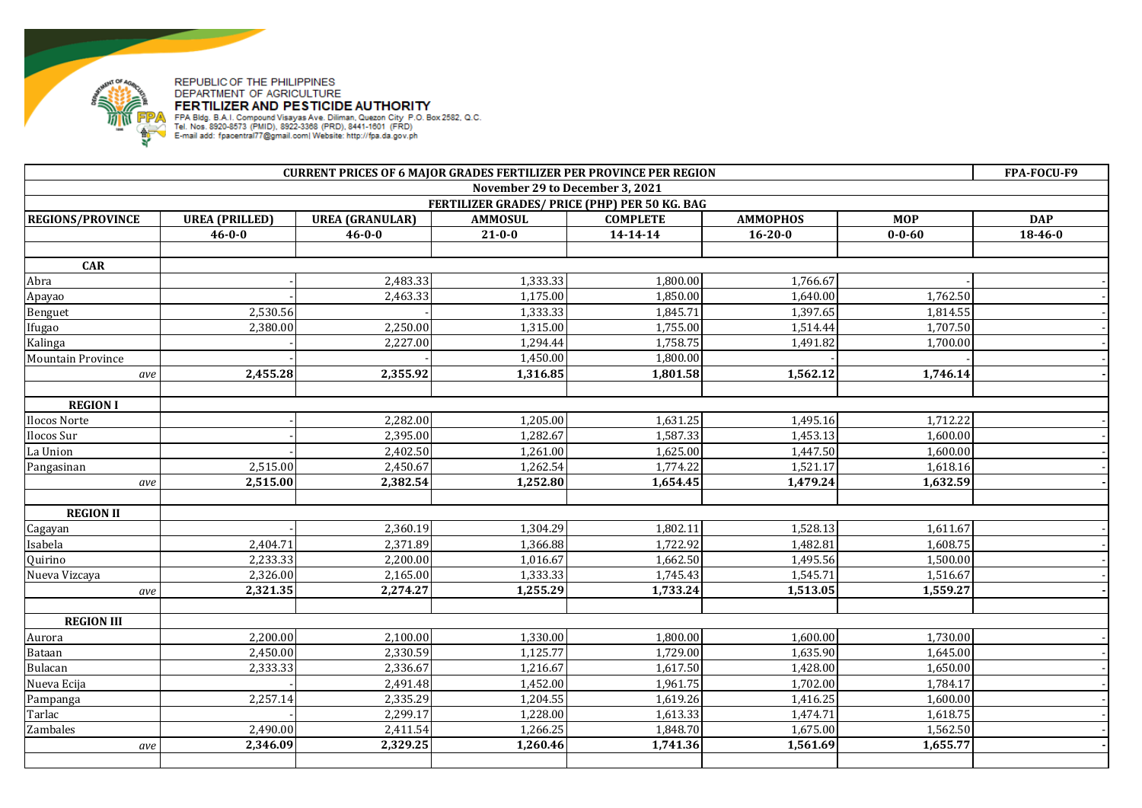

## REPUBLIC OF THE PHILIPPINES DEPARTMENT OF AGRICULTURE

FERTIMENT OF AND PESTICIDE AUTHORITY<br>FPA Bidg. B.A.I. Compound Visayas Ave. Diliman, Quezon City P.O. Box 2582, Q.C.<br>Tel. Nos. 8920-8573 (PMID), 8922-3368 (PRD), 8441-1601 (FRD)<br>E-mail add: fpacentral77@gmail.com| Website:

| <b>CURRENT PRICES OF 6 MAJOR GRADES FERTILIZER PER PROVINCE PER REGION</b> |                       |                        |                |                 |                 |              | FPA-FOCU-F9   |  |  |
|----------------------------------------------------------------------------|-----------------------|------------------------|----------------|-----------------|-----------------|--------------|---------------|--|--|
| November 29 to December 3, 2021                                            |                       |                        |                |                 |                 |              |               |  |  |
| FERTILIZER GRADES/ PRICE (PHP) PER 50 KG. BAG                              |                       |                        |                |                 |                 |              |               |  |  |
| <b>REGIONS/PROVINCE</b>                                                    | <b>UREA (PRILLED)</b> | <b>UREA (GRANULAR)</b> | <b>AMMOSUL</b> | <b>COMPLETE</b> | <b>AMMOPHOS</b> | <b>MOP</b>   | <b>DAP</b>    |  |  |
|                                                                            | $46 - 0 - 0$          | $46 - 0 - 0$           | $21 - 0 - 0$   | 14-14-14        | $16 - 20 - 0$   | $0 - 0 - 60$ | $18 - 46 - 0$ |  |  |
|                                                                            |                       |                        |                |                 |                 |              |               |  |  |
| <b>CAR</b>                                                                 |                       |                        |                |                 |                 |              |               |  |  |
| Abra                                                                       |                       | 2,483.33               | 1,333.33       | 1,800.00        | 1,766.67        |              |               |  |  |
| Apayao                                                                     |                       | 2,463.33               | 1,175.00       | 1,850.00        | 1,640.00        | 1,762.50     |               |  |  |
| Benguet                                                                    | 2,530.56              |                        | 1,333.33       | 1,845.71        | 1,397.65        | 1,814.55     |               |  |  |
| Ifugao                                                                     | 2,380.00              | 2,250.00               | 1,315.00       | 1,755.00        | 1,514.44        | 1,707.50     |               |  |  |
| Kalinga                                                                    |                       | 2,227.00               | 1,294.44       | 1,758.75        | 1,491.82        | 1,700.00     |               |  |  |
| <b>Mountain Province</b>                                                   |                       |                        | 1,450.00       | 1,800.00        |                 |              |               |  |  |
| ave                                                                        | 2,455.28              | 2,355.92               | 1,316.85       | 1,801.58        | 1,562.12        | 1,746.14     |               |  |  |
|                                                                            |                       |                        |                |                 |                 |              |               |  |  |
| <b>REGION I</b>                                                            |                       |                        |                |                 |                 |              |               |  |  |
| Ilocos Norte                                                               |                       | 2,282.00               | 1,205.00       | 1,631.25        | 1,495.16        | 1,712.22     |               |  |  |
| Ilocos Sur                                                                 |                       | 2,395.00               | 1,282.67       | 1,587.33        | 1,453.13        | 1,600.00     |               |  |  |
| La Union                                                                   |                       | 2,402.50               | 1,261.00       | 1,625.00        | 1,447.50        | 1,600.00     |               |  |  |
| Pangasinan                                                                 | 2,515.00              | 2,450.67               | 1,262.54       | 1,774.22        | 1,521.17        | 1,618.16     |               |  |  |
| ave                                                                        | 2,515.00              | 2,382.54               | 1,252.80       | 1,654.45        | 1,479.24        | 1,632.59     |               |  |  |
|                                                                            |                       |                        |                |                 |                 |              |               |  |  |
| <b>REGION II</b>                                                           |                       |                        |                |                 |                 |              |               |  |  |
| Cagayan                                                                    |                       | 2,360.19               | 1,304.29       | 1,802.11        | 1,528.13        | 1,611.67     |               |  |  |
| Isabela                                                                    | 2,404.71              | 2,371.89               | 1,366.88       | 1,722.92        | 1,482.81        | 1,608.75     |               |  |  |
| Quirino                                                                    | 2,233.33              | 2,200.00               | 1,016.67       | 1,662.50        | 1,495.56        | 1,500.00     |               |  |  |
| Nueva Vizcaya                                                              | 2,326.00              | 2,165.00               | 1,333.33       | 1,745.43        | 1,545.71        | 1,516.67     |               |  |  |
| ave                                                                        | 2,321.35              | 2,274.27               | 1,255.29       | 1,733.24        | 1,513.05        | 1,559.27     |               |  |  |
|                                                                            |                       |                        |                |                 |                 |              |               |  |  |
| <b>REGION III</b>                                                          |                       |                        |                |                 |                 |              |               |  |  |
| Aurora                                                                     | 2,200.00              | 2,100.00               | 1,330.00       | 1,800.00        | 1,600.00        | 1,730.00     |               |  |  |
| Bataan                                                                     | 2,450.00              | 2,330.59               | 1,125.77       | 1,729.00        | 1,635.90        | 1,645.00     |               |  |  |
| Bulacan                                                                    | 2,333.33              | 2,336.67               | 1,216.67       | 1,617.50        | 1,428.00        | 1,650.00     |               |  |  |
| Nueva Ecija                                                                |                       | 2,491.48               | 1,452.00       | 1,961.75        | 1,702.00        | 1,784.17     |               |  |  |
| Pampanga                                                                   | 2,257.14              | 2,335.29               | 1,204.55       | 1,619.26        | 1,416.25        | 1,600.00     |               |  |  |
| Tarlac                                                                     |                       | 2,299.17               | 1,228.00       | 1,613.33        | 1,474.71        | 1,618.75     |               |  |  |
| Zambales                                                                   | 2,490.00              | 2,411.54               | 1,266.25       | 1,848.70        | 1,675.00        | 1,562.50     |               |  |  |
| ave                                                                        | 2,346.09              | 2,329.25               | 1,260.46       | 1,741.36        | 1,561.69        | 1,655.77     |               |  |  |
|                                                                            |                       |                        |                |                 |                 |              |               |  |  |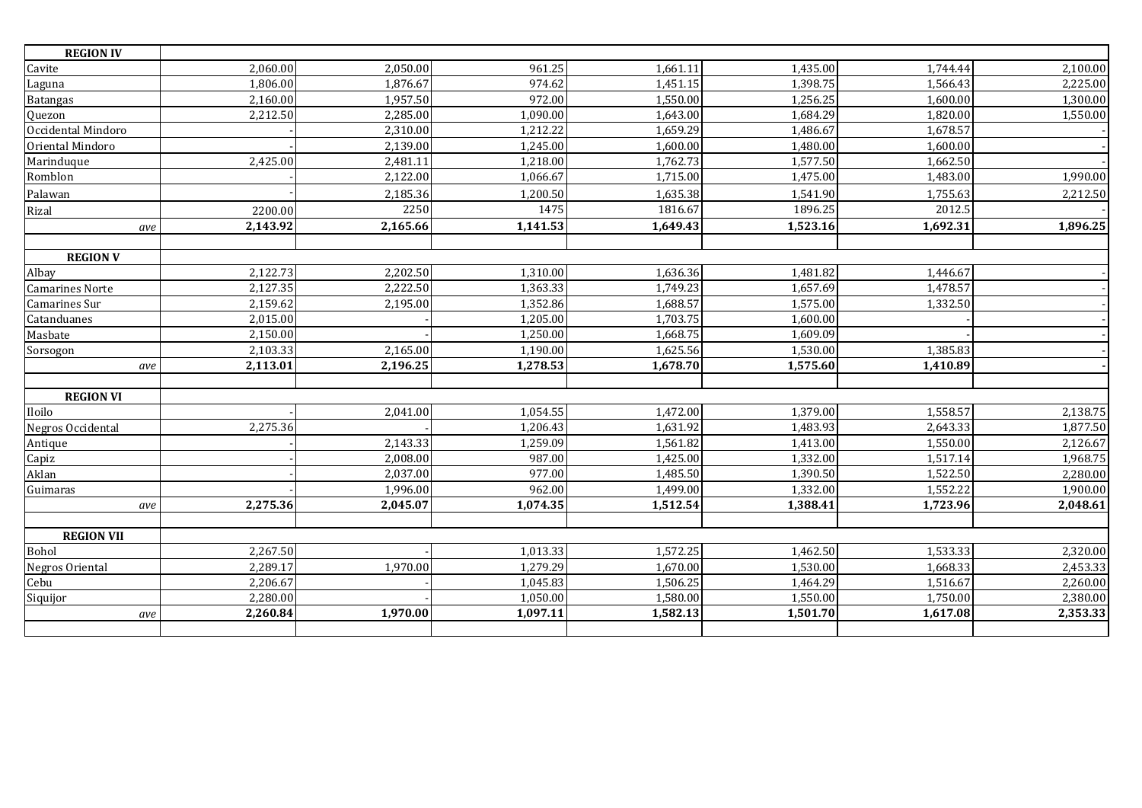| <b>REGION IV</b>       |          |          |          |          |          |                       |          |
|------------------------|----------|----------|----------|----------|----------|-----------------------|----------|
| Cavite                 | 2,060.00 | 2,050.00 | 961.25   | 1,661.11 | 1,435.00 | 1,744.44              | 2,100.00 |
| Laguna                 | 1,806.00 | 1,876.67 | 974.62   | 1,451.15 | 1,398.75 | 1,566.43              | 2,225.00 |
| <b>Batangas</b>        | 2,160.00 | 1,957.50 | 972.00   | 1,550.00 | 1,256.25 | 1,600.00              | 1,300.00 |
| Quezon                 | 2,212.50 | 2,285.00 | 1,090.00 | 1,643.00 | 1,684.29 | 1,820.00              | 1,550.00 |
| Occidental Mindoro     |          | 2,310.00 | 1,212.22 | 1,659.29 | 1,486.67 | 1,678.57              |          |
| Oriental Mindoro       |          | 2,139.00 | 1,245.00 | 1,600.00 | 1,480.00 | 1,600.00              |          |
| Marinduque             | 2,425.00 | 2,481.11 | 1,218.00 | 1,762.73 | 1,577.50 | 1,662.50              |          |
| Romblon                |          | 2,122.00 | 1,066.67 | 1,715.00 | 1,475.00 | 1,483.00              | 1,990.00 |
| Palawan                |          | 2,185.36 | 1,200.50 | 1,635.38 | 1,541.90 | 1,755.63              | 2,212.50 |
| Rizal                  | 2200.00  | 2250     | 1475     | 1816.67  | 1896.25  | 2012.5                |          |
| ave                    | 2,143.92 | 2,165.66 | 1,141.53 | 1,649.43 | 1,523.16 | 1,692.31              | 1,896.25 |
|                        |          |          |          |          |          |                       |          |
| <b>REGION V</b>        |          |          |          |          |          |                       |          |
| Albay                  | 2,122.73 | 2,202.50 | 1,310.00 | 1,636.36 | 1,481.82 | 1,446.67              |          |
| <b>Camarines Norte</b> | 2,127.35 | 2,222.50 | 1,363.33 | 1,749.23 | 1,657.69 | 1,478.57              |          |
| Camarines Sur          | 2,159.62 | 2,195.00 | 1,352.86 | 1,688.57 | 1,575.00 | $\overline{1,}332.50$ |          |
| Catanduanes            | 2,015.00 |          | 1,205.00 | 1,703.75 | 1,600.00 |                       |          |
| Masbate                | 2,150.00 |          | 1,250.00 | 1,668.75 | 1,609.09 |                       |          |
| Sorsogon               | 2,103.33 | 2,165.00 | 1,190.00 | 1,625.56 | 1,530.00 | 1,385.83              |          |
| ave                    | 2,113.01 | 2,196.25 | 1,278.53 | 1,678.70 | 1,575.60 | 1,410.89              |          |
|                        |          |          |          |          |          |                       |          |
| <b>REGION VI</b>       |          |          |          |          |          |                       |          |
| Iloilo                 |          | 2,041.00 | 1,054.55 | 1,472.00 | 1,379.00 | 1,558.57              | 2,138.75 |
| Negros Occidental      | 2,275.36 |          | 1,206.43 | 1,631.92 | 1,483.93 | 2,643.33              | 1,877.50 |
| Antique                |          | 2,143.33 | 1.259.09 | 1,561.82 | 1,413.00 | 1,550.00              | 2,126.67 |
| Capiz                  |          | 2,008.00 | 987.00   | 1,425.00 | 1,332.00 | 1,517.14              | 1,968.75 |
| Aklan                  |          | 2,037.00 | 977.00   | 1,485.50 | 1,390.50 | 1,522.50              | 2,280.00 |
| Guimaras               |          | 1,996.00 | 962.00   | 1,499.00 | 1,332.00 | 1,552.22              | 1,900.00 |
| ave                    | 2,275.36 | 2,045.07 | 1,074.35 | 1,512.54 | 1,388.41 | 1,723.96              | 2,048.61 |
| <b>REGION VII</b>      |          |          |          |          |          |                       |          |
| Bohol                  | 2,267.50 |          | 1,013.33 | 1,572.25 | 1,462.50 | 1,533.33              | 2,320.00 |
| Negros Oriental        | 2,289.17 | 1,970.00 | 1,279.29 | 1,670.00 | 1,530.00 | 1,668.33              | 2,453.33 |
| Cebu                   | 2,206.67 |          | 1,045.83 | 1,506.25 | 1,464.29 | 1,516.67              | 2,260.00 |
| Siquijor               | 2,280.00 |          | 1,050.00 | 1,580.00 | 1,550.00 | 1,750.00              | 2,380.00 |
| ave                    | 2,260.84 | 1,970.00 | 1,097.11 | 1,582.13 | 1,501.70 | 1,617.08              | 2,353.33 |
|                        |          |          |          |          |          |                       |          |
|                        |          |          |          |          |          |                       |          |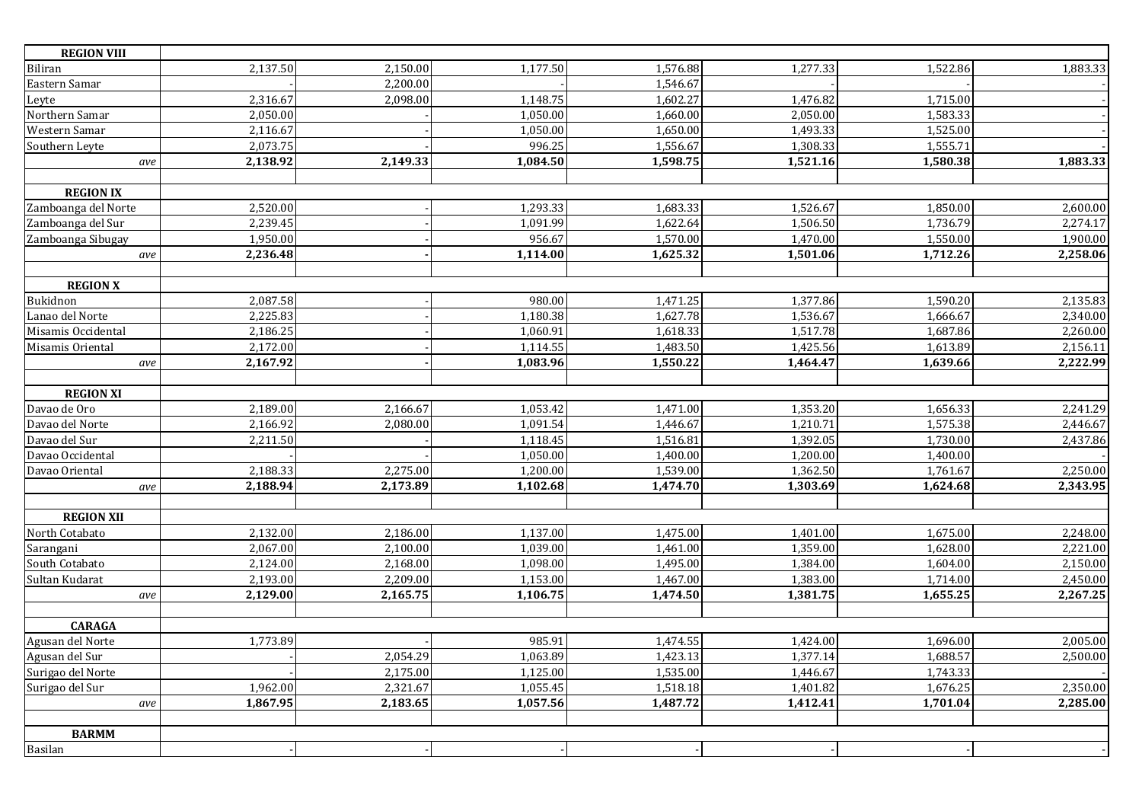| <b>REGION VIII</b>  |          |          |          |          |          |          |          |
|---------------------|----------|----------|----------|----------|----------|----------|----------|
| <b>Biliran</b>      | 2,137.50 | 2,150.00 | 1,177.50 | 1,576.88 | 1,277.33 | 1,522.86 | 1,883.33 |
| Eastern Samar       |          | 2,200.00 |          | 1,546.67 |          |          |          |
| Leyte               | 2,316.67 | 2,098.00 | 1,148.75 | 1,602.27 | 1,476.82 | 1,715.00 |          |
| Northern Samar      | 2,050.00 |          | 1,050.00 | 1,660.00 | 2,050.00 | 1,583.33 |          |
| Western Samar       | 2,116.67 |          | 1,050.00 | 1,650.00 | 1,493.33 | 1,525.00 |          |
| Southern Leyte      | 2,073.75 |          | 996.25   | 1,556.67 | 1,308.33 | 1,555.71 |          |
| ave                 | 2,138.92 | 2,149.33 | 1,084.50 | 1,598.75 | 1,521.16 | 1,580.38 | 1,883.33 |
|                     |          |          |          |          |          |          |          |
| <b>REGION IX</b>    |          |          |          |          |          |          |          |
| Zamboanga del Norte | 2,520.00 |          | 1,293.33 | 1,683.33 | 1,526.67 | 1,850.00 | 2,600.00 |
| Zamboanga del Sur   | 2,239.45 |          | 1,091.99 | 1,622.64 | 1,506.50 | 1,736.79 | 2,274.17 |
| Zamboanga Sibugay   | 1,950.00 |          | 956.67   | 1,570.00 | 1,470.00 | 1,550.00 | 1,900.00 |
| $\emph{ave}$        | 2,236.48 |          | 1,114.00 | 1,625.32 | 1,501.06 | 1,712.26 | 2,258.06 |
|                     |          |          |          |          |          |          |          |
| <b>REGION X</b>     |          |          |          |          |          |          |          |
| Bukidnon            | 2,087.58 |          | 980.00   | 1,471.25 | 1,377.86 | 1,590.20 | 2,135.83 |
| Lanao del Norte     | 2,225.83 |          | 1,180.38 | 1,627.78 | 1,536.67 | 1,666.67 | 2,340.00 |
| Misamis Occidental  | 2,186.25 |          | 1,060.91 | 1,618.33 | 1,517.78 | 1,687.86 | 2,260.00 |
| Misamis Oriental    | 2,172.00 |          | 1,114.55 | 1,483.50 | 1,425.56 | 1,613.89 | 2,156.11 |
| ave                 | 2,167.92 |          | 1,083.96 | 1,550.22 | 1,464.47 | 1,639.66 | 2,222.99 |
|                     |          |          |          |          |          |          |          |
| <b>REGION XI</b>    |          |          |          |          |          |          |          |
| Davao de Oro        | 2,189.00 | 2,166.67 | 1,053.42 | 1,471.00 | 1,353.20 | 1,656.33 | 2,241.29 |
| Davao del Norte     | 2,166.92 | 2,080.00 | 1,091.54 | 1,446.67 | 1,210.71 | 1,575.38 | 2,446.67 |
| Davao del Sur       | 2,211.50 |          | 1,118.45 | 1,516.81 | 1,392.05 | 1,730.00 | 2,437.86 |
| Davao Occidental    |          |          | 1,050.00 | 1,400.00 | 1,200.00 | 1,400.00 |          |
| Davao Oriental      | 2,188.33 | 2,275.00 | 1,200.00 | 1,539.00 | 1,362.50 | 1,761.67 | 2,250.00 |
| ave                 | 2,188.94 | 2,173.89 | 1,102.68 | 1,474.70 | 1,303.69 | 1,624.68 | 2,343.95 |
|                     |          |          |          |          |          |          |          |
| <b>REGION XII</b>   |          |          |          |          |          |          |          |
| North Cotabato      | 2,132.00 | 2,186.00 | 1,137.00 | 1,475.00 | 1,401.00 | 1,675.00 | 2,248.00 |
| Sarangani           | 2,067.00 | 2,100.00 | 1,039.00 | 1,461.00 | 1,359.00 | 1,628.00 | 2,221.00 |
| South Cotabato      | 2,124.00 | 2,168.00 | 1,098.00 | 1,495.00 | 1,384.00 | 1,604.00 | 2,150.00 |
| Sultan Kudarat      | 2,193.00 | 2,209.00 | 1,153.00 | 1,467.00 | 1,383.00 | 1,714.00 | 2,450.00 |
| ave                 | 2,129.00 | 2,165.75 | 1,106.75 | 1,474.50 | 1,381.75 | 1,655.25 | 2,267.25 |
|                     |          |          |          |          |          |          |          |
| <b>CARAGA</b>       |          |          |          |          |          |          |          |
| Agusan del Norte    | 1,773.89 |          | 985.91   | 1,474.55 | 1,424.00 | 1,696.00 | 2,005.00 |
| Agusan del Sur      |          | 2,054.29 | 1,063.89 | 1,423.13 | 1,377.14 | 1,688.57 | 2,500.00 |
| Surigao del Norte   |          | 2,175.00 | 1,125.00 | 1,535.00 | 1,446.67 | 1,743.33 |          |
| Surigao del Sur     | 1,962.00 | 2,321.67 | 1,055.45 | 1,518.18 | 1,401.82 | 1,676.25 | 2,350.00 |
| ave                 | 1,867.95 | 2,183.65 | 1,057.56 | 1,487.72 | 1,412.41 | 1,701.04 | 2,285.00 |
| <b>BARMM</b>        |          |          |          |          |          |          |          |
|                     |          |          |          |          |          |          |          |
| Basilan             |          |          |          |          |          |          |          |